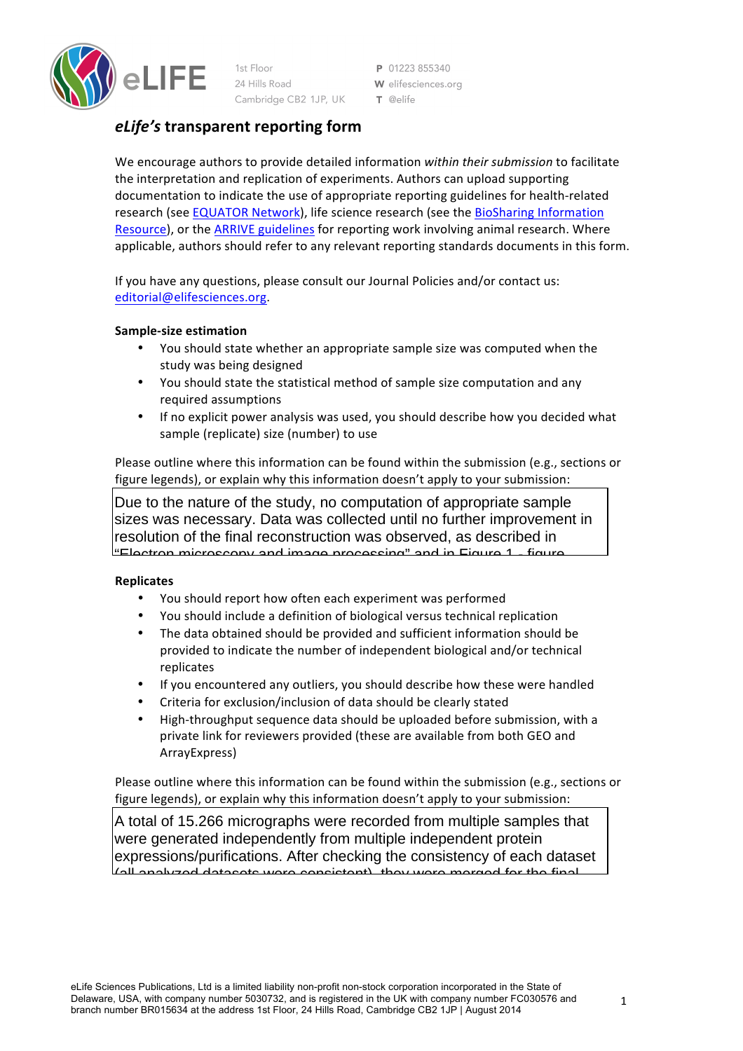

1st Floor 24 Hills Road Cambridge CB2 1JP, UK

P 01223 855340 W elifesciences.org  $T$  @elife

## *eLife's* **transparent reporting form**

We encourage authors to provide detailed information within their submission to facilitate the interpretation and replication of experiments. Authors can upload supporting documentation to indicate the use of appropriate reporting guidelines for health-related research (see EQUATOR Network), life science research (see the BioSharing Information Resource), or the ARRIVE guidelines for reporting work involving animal research. Where applicable, authors should refer to any relevant reporting standards documents in this form.

If you have any questions, please consult our Journal Policies and/or contact us: editorial@elifesciences.org.

### **Sample-size estimation**

- You should state whether an appropriate sample size was computed when the study was being designed
- You should state the statistical method of sample size computation and any required assumptions
- If no explicit power analysis was used, you should describe how you decided what sample (replicate) size (number) to use

Please outline where this information can be found within the submission (e.g., sections or figure legends), or explain why this information doesn't apply to your submission:

Due to the nature of the study, no computation of appropriate sample sizes was necessary. Data was collected until no further improvement in resolution of the final reconstruction was observed, as described in  $"$ Electron microscopy and image processing" and in Figure 1 - figure

# **Replicates**

- You should report how often each experiment was performed
- You should include a definition of biological versus technical replication
- The data obtained should be provided and sufficient information should be provided to indicate the number of independent biological and/or technical replicates
- If you encountered any outliers, you should describe how these were handled
- Criteria for exclusion/inclusion of data should be clearly stated
- High-throughput sequence data should be uploaded before submission, with a private link for reviewers provided (these are available from both GEO and ArrayExpress)

Please outline where this information can be found within the submission (e.g., sections or figure legends), or explain why this information doesn't apply to your submission:

A total of 15.266 micrographs were recorded from multiple samples that were generated independently from multiple independent protein expressions/purifications. After checking the consistency of each dataset (all analyzed datasets were consistent), they were merged for the final